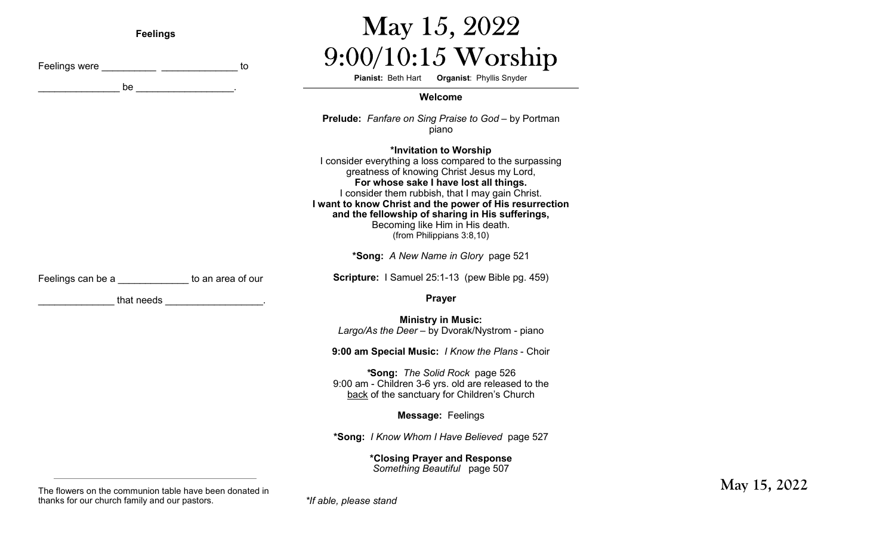| <b>Feelings</b>                                                                                                 |                                                                                                                                                                                                                                      | May 15, 2022                                                                                                                                                                                                                                                                                                                                                                                                 |
|-----------------------------------------------------------------------------------------------------------------|--------------------------------------------------------------------------------------------------------------------------------------------------------------------------------------------------------------------------------------|--------------------------------------------------------------------------------------------------------------------------------------------------------------------------------------------------------------------------------------------------------------------------------------------------------------------------------------------------------------------------------------------------------------|
|                                                                                                                 | to<br>be the contract of the contract of the contract of the contract of the contract of the contract of the contract of the contract of the contract of the contract of the contract of the contract of the contract of the contrac | $9:00/10:15$ Worship<br>Pianist: Beth Hart Organist: Phyllis Snyder                                                                                                                                                                                                                                                                                                                                          |
|                                                                                                                 |                                                                                                                                                                                                                                      | Welcome                                                                                                                                                                                                                                                                                                                                                                                                      |
|                                                                                                                 |                                                                                                                                                                                                                                      | <b>Prelude:</b> Fanfare on Sing Praise to God - by Portman<br>piano                                                                                                                                                                                                                                                                                                                                          |
|                                                                                                                 |                                                                                                                                                                                                                                      | *Invitation to Worship<br>I consider everything a loss compared to the surpassing<br>greatness of knowing Christ Jesus my Lord,<br>For whose sake I have lost all things.<br>I consider them rubbish, that I may gain Christ.<br>I want to know Christ and the power of His resurrection<br>and the fellowship of sharing in His sufferings,<br>Becoming like Him in His death.<br>(from Philippians 3:8,10) |
|                                                                                                                 |                                                                                                                                                                                                                                      | *Song: A New Name in Glory page 521                                                                                                                                                                                                                                                                                                                                                                          |
| Feelings can be a section of the state of our set of our                                                        |                                                                                                                                                                                                                                      | Scripture: I Samuel 25:1-13 (pew Bible pg. 459)                                                                                                                                                                                                                                                                                                                                                              |
| that needs in the set of the set of the set of the set of the set of the set of the set of the set of the set o |                                                                                                                                                                                                                                      | <b>Prayer</b>                                                                                                                                                                                                                                                                                                                                                                                                |
|                                                                                                                 |                                                                                                                                                                                                                                      | <b>Ministry in Music:</b><br>Largo/As the Deer - by Dvorak/Nystrom - piano                                                                                                                                                                                                                                                                                                                                   |
|                                                                                                                 |                                                                                                                                                                                                                                      | 9:00 am Special Music: / Know the Plans - Choir                                                                                                                                                                                                                                                                                                                                                              |
|                                                                                                                 |                                                                                                                                                                                                                                      | *Song: The Solid Rock page 526<br>9:00 am - Children 3-6 yrs. old are released to the<br>back of the sanctuary for Children's Church                                                                                                                                                                                                                                                                         |
|                                                                                                                 |                                                                                                                                                                                                                                      | Message: Feelings                                                                                                                                                                                                                                                                                                                                                                                            |
|                                                                                                                 |                                                                                                                                                                                                                                      | *Song: I Know Whom I Have Believed page 527                                                                                                                                                                                                                                                                                                                                                                  |
|                                                                                                                 |                                                                                                                                                                                                                                      | *Closing Prayer and Response<br>Something Beautiful page 507                                                                                                                                                                                                                                                                                                                                                 |

**May 15, 2022**

*\*If able, please stand*